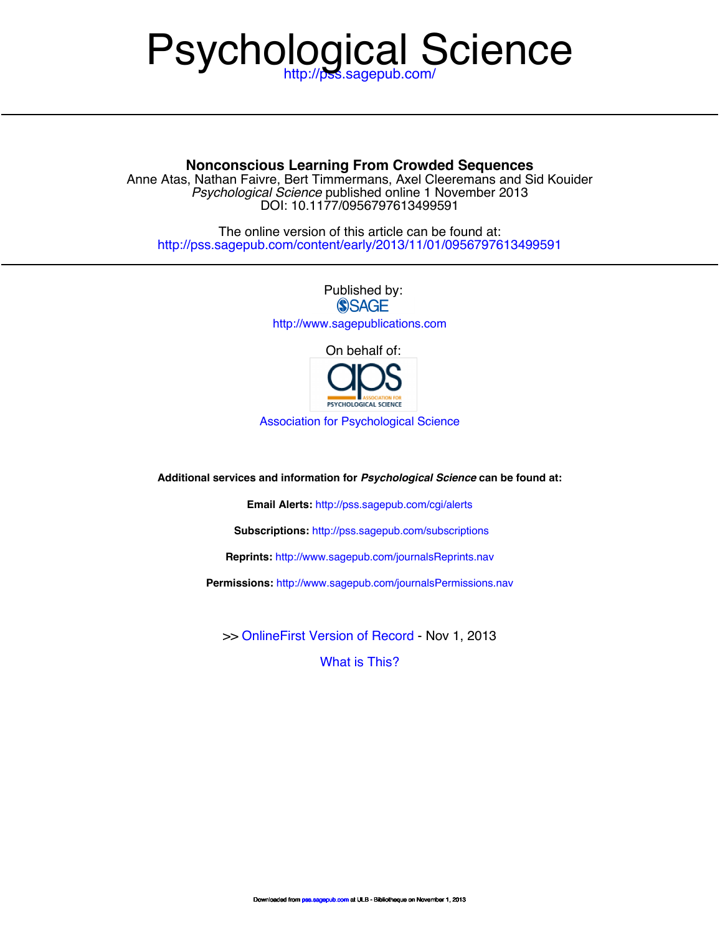# Psychological Science

DOI: 10.1177/0956797613499591 *Psychological Science* published online 1 November 2013 Anne Atas, Nathan Faivre, Bert Timmermans, Axel Cleeremans and Sid Kouider **Nonconscious Learning From Crowded Sequences**

<http://pss.sagepub.com/content/early/2013/11/01/0956797613499591> The online version of this article can be found at:

> Published by:<br>
> SAGE <http://www.sagepublications.com>

On behalf of: PSYCHOLOGICAL SCIENCE

[Association for Psychological Science](http://www.psychologicalscience.org/)

**Additional services and information for** *Psychological Science* **can be found at:**

**Email Alerts:** <http://pss.sagepub.com/cgi/alerts>

**Subscriptions:** <http://pss.sagepub.com/subscriptions>

**Reprints:** <http://www.sagepub.com/journalsReprints.nav>

**Permissions:** <http://www.sagepub.com/journalsPermissions.nav>

>> [OnlineFirst Version of Record -](http://pss.sagepub.com/content/early/2013/11/01/0956797613499591.full.pdf) Nov 1, 2013

[What is This?](http://online.sagepub.com/site/sphelp/vorhelp.xhtml)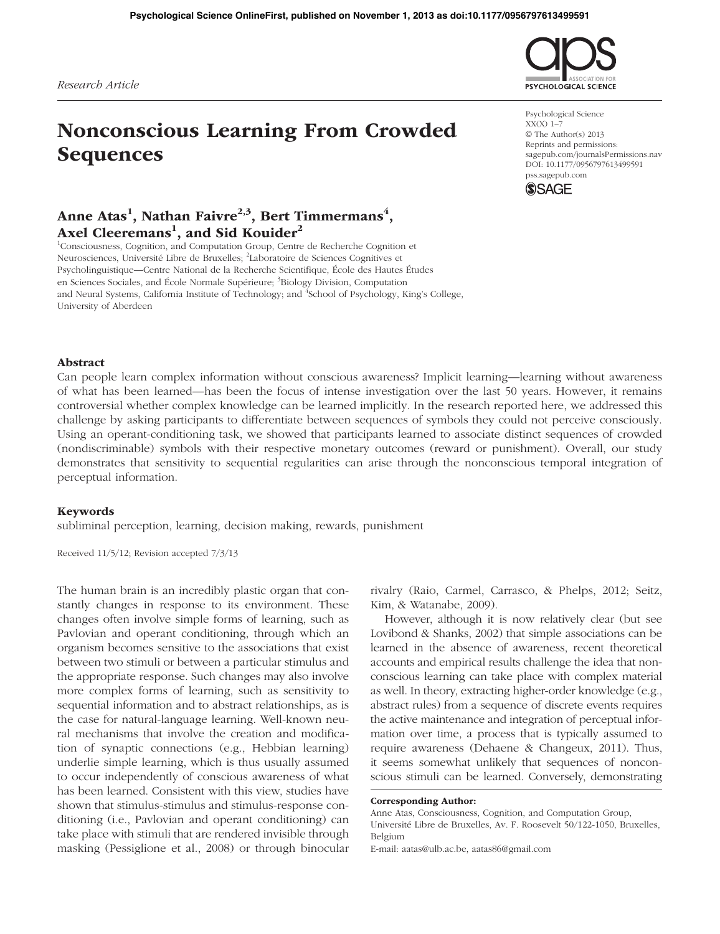Research Article

# Nonconscious Learning From Crowded Sequences

# Anne Atas<sup>1</sup>, Nathan Faivre<sup>2,3</sup>, Bert Timmermans<sup>4</sup>, Axel Cleeremans<sup>1</sup>, and Sid Kouider<sup>2</sup>

<sup>1</sup>Consciousness, Cognition, and Computation Group, Centre de Recherche Cognition et Neurosciences, Université Libre de Bruxelles; <sup>2</sup>Laboratoire de Sciences Cognitives et Psycholinguistique—Centre National de la Recherche Scientifique, École des Hautes Études en Sciences Sociales, and École Normale Supérieure; <sup>3</sup>Biology Division, Computation and Neural Systems, California Institute of Technology; and <sup>4</sup>School of Psychology, King's College, University of Aberdeen

Psychological Science XX(X) 1–7 © The Author(s) 2013 Reprints and permissions: sagepub.com/journalsPermissions.nav DOI: 10.1177/0956797613499591 pss.sagepub.com



#### Abstract

Can people learn complex information without conscious awareness? Implicit learning—learning without awareness of what has been learned—has been the focus of intense investigation over the last 50 years. However, it remains controversial whether complex knowledge can be learned implicitly. In the research reported here, we addressed this challenge by asking participants to differentiate between sequences of symbols they could not perceive consciously. Using an operant-conditioning task, we showed that participants learned to associate distinct sequences of crowded (nondiscriminable) symbols with their respective monetary outcomes (reward or punishment). Overall, our study demonstrates that sensitivity to sequential regularities can arise through the nonconscious temporal integration of perceptual information.

## Keywords

subliminal perception, learning, decision making, rewards, punishment

Received 11/5/12; Revision accepted 7/3/13

The human brain is an incredibly plastic organ that constantly changes in response to its environment. These changes often involve simple forms of learning, such as Pavlovian and operant conditioning, through which an organism becomes sensitive to the associations that exist between two stimuli or between a particular stimulus and the appropriate response. Such changes may also involve more complex forms of learning, such as sensitivity to sequential information and to abstract relationships, as is the case for natural-language learning. Well-known neural mechanisms that involve the creation and modification of synaptic connections (e.g., Hebbian learning) underlie simple learning, which is thus usually assumed to occur independently of conscious awareness of what has been learned. Consistent with this view, studies have shown that stimulus-stimulus and stimulus-response conditioning (i.e., Pavlovian and operant conditioning) can take place with stimuli that are rendered invisible through masking (Pessiglione et al., 2008) or through binocular

rivalry (Raio, Carmel, Carrasco, & Phelps, 2012; Seitz, Kim, & Watanabe, 2009).

However, although it is now relatively clear (but see Lovibond & Shanks, 2002) that simple associations can be learned in the absence of awareness, recent theoretical accounts and empirical results challenge the idea that nonconscious learning can take place with complex material as well. In theory, extracting higher-order knowledge (e.g., abstract rules) from a sequence of discrete events requires the active maintenance and integration of perceptual information over time, a process that is typically assumed to require awareness (Dehaene & Changeux, 2011). Thus, it seems somewhat unlikely that sequences of nonconscious stimuli can be learned. Conversely, demonstrating

E-mail: aatas@ulb.ac.be, aatas86@gmail.com



Corresponding Author:

Anne Atas, Consciousness, Cognition, and Computation Group, Université Libre de Bruxelles, Av. F. Roosevelt 50/122-1050, Bruxelles, Belgium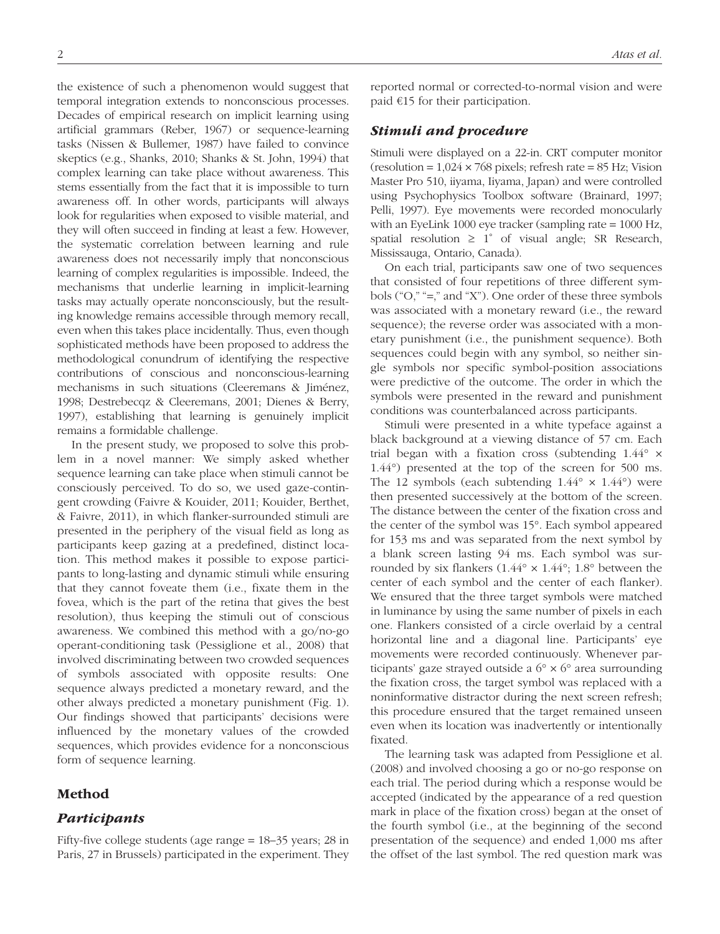the existence of such a phenomenon would suggest that temporal integration extends to nonconscious processes. Decades of empirical research on implicit learning using artificial grammars (Reber, 1967) or sequence-learning tasks (Nissen & Bullemer, 1987) have failed to convince skeptics (e.g., Shanks, 2010; Shanks & St. John, 1994) that complex learning can take place without awareness. This stems essentially from the fact that it is impossible to turn awareness off. In other words, participants will always look for regularities when exposed to visible material, and they will often succeed in finding at least a few. However, the systematic correlation between learning and rule awareness does not necessarily imply that nonconscious learning of complex regularities is impossible. Indeed, the mechanisms that underlie learning in implicit-learning tasks may actually operate nonconsciously, but the resulting knowledge remains accessible through memory recall, even when this takes place incidentally. Thus, even though sophisticated methods have been proposed to address the methodological conundrum of identifying the respective contributions of conscious and nonconscious-learning mechanisms in such situations (Cleeremans & Jiménez, 1998; Destrebecqz & Cleeremans, 2001; Dienes & Berry, 1997), establishing that learning is genuinely implicit remains a formidable challenge.

In the present study, we proposed to solve this problem in a novel manner: We simply asked whether sequence learning can take place when stimuli cannot be consciously perceived. To do so, we used gaze-contingent crowding (Faivre & Kouider, 2011; Kouider, Berthet, & Faivre, 2011), in which flanker-surrounded stimuli are presented in the periphery of the visual field as long as participants keep gazing at a predefined, distinct location. This method makes it possible to expose participants to long-lasting and dynamic stimuli while ensuring that they cannot foveate them (i.e., fixate them in the fovea, which is the part of the retina that gives the best resolution), thus keeping the stimuli out of conscious awareness. We combined this method with a go/no-go operant-conditioning task (Pessiglione et al., 2008) that involved discriminating between two crowded sequences of symbols associated with opposite results: One sequence always predicted a monetary reward, and the other always predicted a monetary punishment (Fig. 1). Our findings showed that participants' decisions were influenced by the monetary values of the crowded sequences, which provides evidence for a nonconscious form of sequence learning.

# Method

# Participants

Fifty-five college students (age range = 18–35 years; 28 in Paris, 27 in Brussels) participated in the experiment. They reported normal or corrected-to-normal vision and were paid €15 for their participation.

# Stimuli and procedure

Stimuli were displayed on a 22-in. CRT computer monitor  $(resolution = 1,024 \times 768$  pixels; refresh rate = 85 Hz; Vision Master Pro 510, iiyama, Iiyama, Japan) and were controlled using Psychophysics Toolbox software (Brainard, 1997; Pelli, 1997). Eye movements were recorded monocularly with an EyeLink 1000 eye tracker (sampling rate = 1000 Hz, spatial resolution  $\geq 1^\circ$  of visual angle; SR Research, Mississauga, Ontario, Canada).

On each trial, participants saw one of two sequences that consisted of four repetitions of three different symbols ("O," " $=$ ," and "X"). One order of these three symbols was associated with a monetary reward (i.e., the reward sequence); the reverse order was associated with a monetary punishment (i.e., the punishment sequence). Both sequences could begin with any symbol, so neither single symbols nor specific symbol-position associations were predictive of the outcome. The order in which the symbols were presented in the reward and punishment conditions was counterbalanced across participants.

Stimuli were presented in a white typeface against a black background at a viewing distance of 57 cm. Each trial began with a fixation cross (subtending 1.44° × 1.44°) presented at the top of the screen for 500 ms. The 12 symbols (each subtending  $1.44^{\circ} \times 1.44^{\circ}$ ) were then presented successively at the bottom of the screen. The distance between the center of the fixation cross and the center of the symbol was 15°. Each symbol appeared for 153 ms and was separated from the next symbol by a blank screen lasting 94 ms. Each symbol was surrounded by six flankers  $(1.44^{\circ} \times 1.44^{\circ}; 1.8^{\circ})$  between the center of each symbol and the center of each flanker). We ensured that the three target symbols were matched in luminance by using the same number of pixels in each one. Flankers consisted of a circle overlaid by a central horizontal line and a diagonal line. Participants' eye movements were recorded continuously. Whenever participants' gaze strayed outside a 6° × 6° area surrounding the fixation cross, the target symbol was replaced with a noninformative distractor during the next screen refresh; this procedure ensured that the target remained unseen even when its location was inadvertently or intentionally fixated.

The learning task was adapted from Pessiglione et al. (2008) and involved choosing a go or no-go response on each trial. The period during which a response would be accepted (indicated by the appearance of a red question mark in place of the fixation cross) began at the onset of the fourth symbol (i.e., at the beginning of the second presentation of the sequence) and ended 1,000 ms after the offset of the last symbol. The red question mark was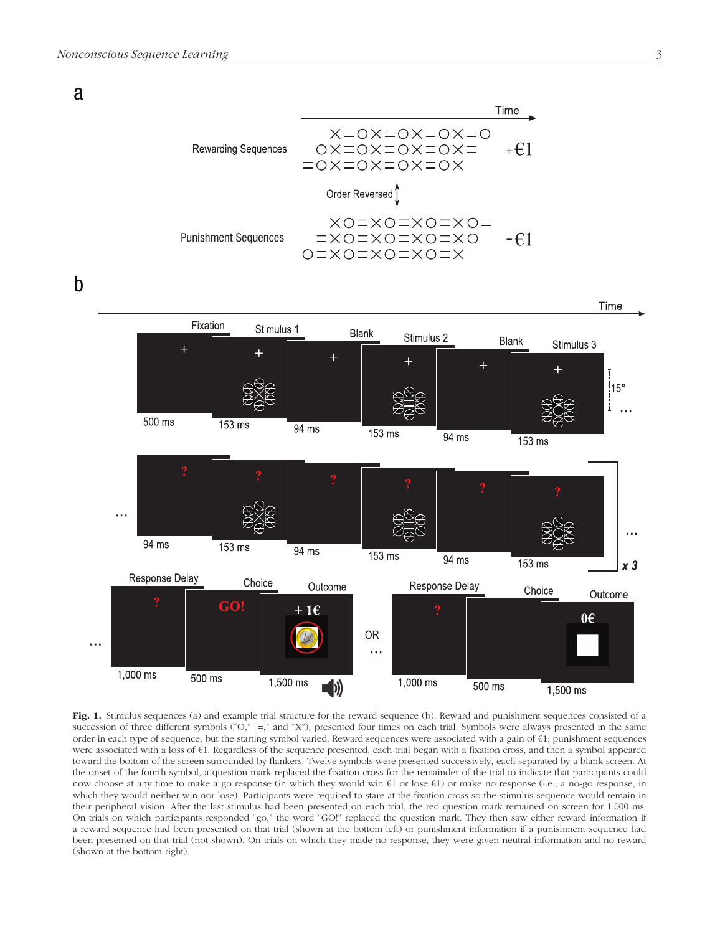a



b



Fig. 1. Stimulus sequences (a) and example trial structure for the reward sequence (b). Reward and punishment sequences consisted of a succession of three different symbols ("O," "=," and "X"), presented four times on each trial. Symbols were always presented in the same order in each type of sequence, but the starting symbol varied. Reward sequences were associated with a gain of €1; punishment sequences were associated with a loss of €1. Regardless of the sequence presented, each trial began with a fixation cross, and then a symbol appeared toward the bottom of the screen surrounded by flankers. Twelve symbols were presented successively, each separated by a blank screen. At the onset of the fourth symbol, a question mark replaced the fixation cross for the remainder of the trial to indicate that participants could now choose at any time to make a go response (in which they would win €1 or lose €1) or make no response (i.e., a no-go response, in which they would neither win nor lose). Participants were required to stare at the fixation cross so the stimulus sequence would remain in their peripheral vision. After the last stimulus had been presented on each trial, the red question mark remained on screen for 1,000 ms. On trials on which participants responded "go," the word "GO!" replaced the question mark. They then saw either reward information if a reward sequence had been presented on that trial (shown at the bottom left) or punishment information if a punishment sequence had been presented on that trial (not shown). On trials on which they made no response, they were given neutral information and no reward (shown at the bottom right).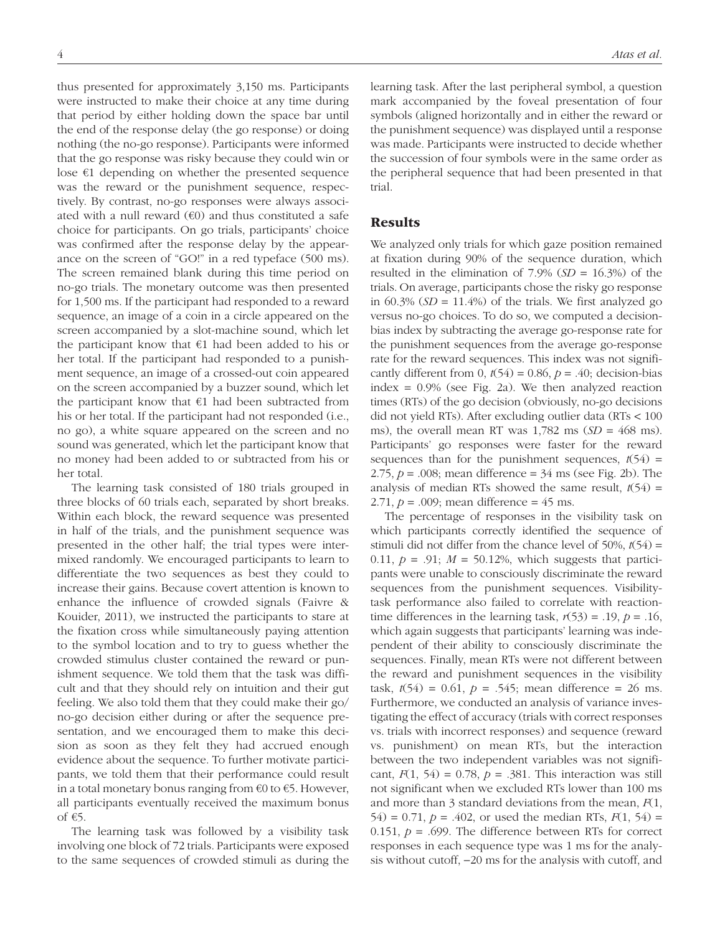thus presented for approximately 3,150 ms. Participants were instructed to make their choice at any time during that period by either holding down the space bar until the end of the response delay (the go response) or doing nothing (the no-go response). Participants were informed that the go response was risky because they could win or lose €1 depending on whether the presented sequence was the reward or the punishment sequence, respectively. By contrast, no-go responses were always associated with a null reward  $(60)$  and thus constituted a safe choice for participants. On go trials, participants' choice was confirmed after the response delay by the appearance on the screen of "GO!" in a red typeface (500 ms). The screen remained blank during this time period on no-go trials. The monetary outcome was then presented for 1,500 ms. If the participant had responded to a reward sequence, an image of a coin in a circle appeared on the screen accompanied by a slot-machine sound, which let the participant know that  $€1$  had been added to his or her total. If the participant had responded to a punishment sequence, an image of a crossed-out coin appeared on the screen accompanied by a buzzer sound, which let the participant know that  $€1$  had been subtracted from his or her total. If the participant had not responded (i.e., no go), a white square appeared on the screen and no sound was generated, which let the participant know that no money had been added to or subtracted from his or her total.

The learning task consisted of 180 trials grouped in three blocks of 60 trials each, separated by short breaks. Within each block, the reward sequence was presented in half of the trials, and the punishment sequence was presented in the other half; the trial types were intermixed randomly. We encouraged participants to learn to differentiate the two sequences as best they could to increase their gains. Because covert attention is known to enhance the influence of crowded signals (Faivre & Kouider, 2011), we instructed the participants to stare at the fixation cross while simultaneously paying attention to the symbol location and to try to guess whether the crowded stimulus cluster contained the reward or punishment sequence. We told them that the task was difficult and that they should rely on intuition and their gut feeling. We also told them that they could make their go/ no-go decision either during or after the sequence presentation, and we encouraged them to make this decision as soon as they felt they had accrued enough evidence about the sequence. To further motivate participants, we told them that their performance could result in a total monetary bonus ranging from €0 to €5. However, all participants eventually received the maximum bonus of €5.

The learning task was followed by a visibility task involving one block of 72 trials. Participants were exposed to the same sequences of crowded stimuli as during the learning task. After the last peripheral symbol, a question mark accompanied by the foveal presentation of four symbols (aligned horizontally and in either the reward or the punishment sequence) was displayed until a response was made. Participants were instructed to decide whether the succession of four symbols were in the same order as the peripheral sequence that had been presented in that trial.

# Results

We analyzed only trials for which gaze position remained at fixation during 90% of the sequence duration, which resulted in the elimination of  $7.9\%$  ( $SD = 16.3\%$ ) of the trials. On average, participants chose the risky go response in  $60.3\%$  ( $SD = 11.4\%$ ) of the trials. We first analyzed go versus no-go choices. To do so, we computed a decisionbias index by subtracting the average go-response rate for the punishment sequences from the average go-response rate for the reward sequences. This index was not significantly different from 0,  $t(54) = 0.86$ ,  $p = .40$ ; decision-bias index  $= 0.9\%$  (see Fig. 2a). We then analyzed reaction times (RTs) of the go decision (obviously, no-go decisions did not yield RTs). After excluding outlier data (RTs < 100 ms), the overall mean RT was  $1,782$  ms  $(SD = 468$  ms). Participants' go responses were faster for the reward sequences than for the punishment sequences,  $t(54)$  = 2.75,  $p = 0.008$ ; mean difference = 34 ms (see Fig. 2b). The analysis of median RTs showed the same result,  $t(54)$  = 2.71,  $p = .009$ ; mean difference = 45 ms.

The percentage of responses in the visibility task on which participants correctly identified the sequence of stimuli did not differ from the chance level of 50%,  $t(54)$  = 0.11,  $p = .91$ ;  $M = 50.12\%$ , which suggests that participants were unable to consciously discriminate the reward sequences from the punishment sequences. Visibilitytask performance also failed to correlate with reactiontime differences in the learning task,  $r(53) = .19$ ,  $p = .16$ , which again suggests that participants' learning was independent of their ability to consciously discriminate the sequences. Finally, mean RTs were not different between the reward and punishment sequences in the visibility task,  $t(54) = 0.61$ ,  $p = .545$ ; mean difference = 26 ms. Furthermore, we conducted an analysis of variance investigating the effect of accuracy (trials with correct responses vs. trials with incorrect responses) and sequence (reward vs. punishment) on mean RTs, but the interaction between the two independent variables was not significant,  $F(1, 54) = 0.78$ ,  $p = .381$ . This interaction was still not significant when we excluded RTs lower than 100 ms and more than 3 standard deviations from the mean,  $F(1)$ ,  $54$ ) = 0.71,  $p = .402$ , or used the median RTs,  $F(1, 54)$  = 0.151,  $p = .699$ . The difference between RTs for correct responses in each sequence type was 1 ms for the analysis without cutoff, −20 ms for the analysis with cutoff, and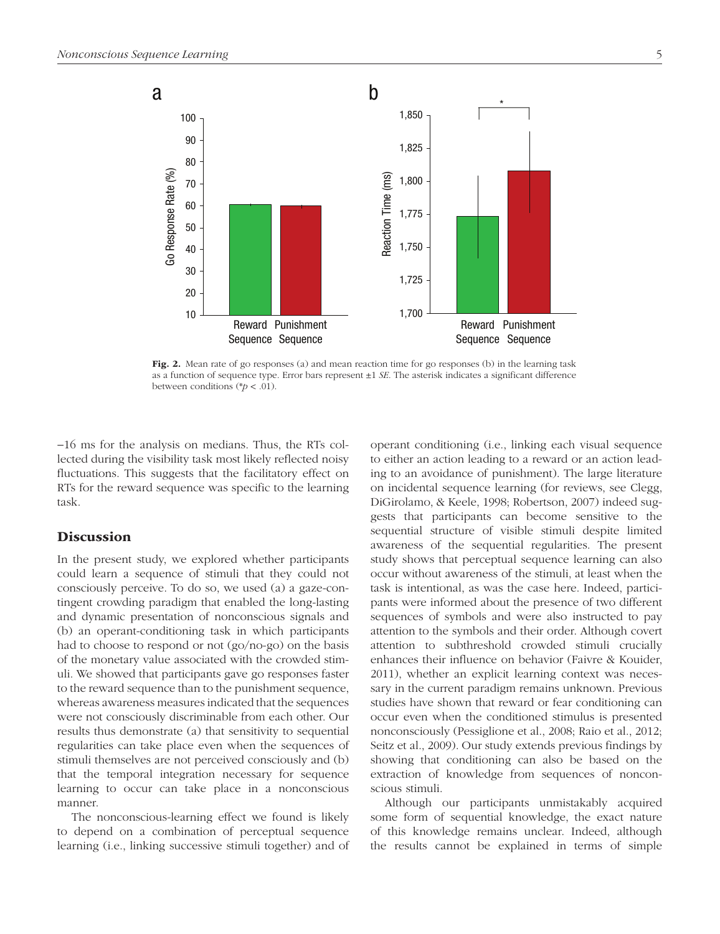

Fig. 2. Mean rate of go responses (a) and mean reaction time for go responses (b) in the learning task as a function of sequence type. Error bars represent  $\pm 1$  SE. The asterisk indicates a significant difference between conditions ( $p < .01$ ).

−16 ms for the analysis on medians. Thus, the RTs collected during the visibility task most likely reflected noisy fluctuations. This suggests that the facilitatory effect on RTs for the reward sequence was specific to the learning task.

# **Discussion**

In the present study, we explored whether participants could learn a sequence of stimuli that they could not consciously perceive. To do so, we used (a) a gaze-contingent crowding paradigm that enabled the long-lasting and dynamic presentation of nonconscious signals and (b) an operant-conditioning task in which participants had to choose to respond or not (go/no-go) on the basis of the monetary value associated with the crowded stimuli. We showed that participants gave go responses faster to the reward sequence than to the punishment sequence, whereas awareness measures indicated that the sequences were not consciously discriminable from each other. Our results thus demonstrate (a) that sensitivity to sequential regularities can take place even when the sequences of stimuli themselves are not perceived consciously and (b) that the temporal integration necessary for sequence learning to occur can take place in a nonconscious manner.

The nonconscious-learning effect we found is likely to depend on a combination of perceptual sequence learning (i.e., linking successive stimuli together) and of operant conditioning (i.e., linking each visual sequence to either an action leading to a reward or an action leading to an avoidance of punishment). The large literature on incidental sequence learning (for reviews, see Clegg, DiGirolamo, & Keele, 1998; Robertson, 2007) indeed suggests that participants can become sensitive to the sequential structure of visible stimuli despite limited awareness of the sequential regularities. The present study shows that perceptual sequence learning can also occur without awareness of the stimuli, at least when the task is intentional, as was the case here. Indeed, participants were informed about the presence of two different sequences of symbols and were also instructed to pay attention to the symbols and their order. Although covert attention to subthreshold crowded stimuli crucially enhances their influence on behavior (Faivre & Kouider, 2011), whether an explicit learning context was necessary in the current paradigm remains unknown. Previous studies have shown that reward or fear conditioning can occur even when the conditioned stimulus is presented nonconsciously (Pessiglione et al., 2008; Raio et al., 2012; Seitz et al., 2009). Our study extends previous findings by showing that conditioning can also be based on the extraction of knowledge from sequences of nonconscious stimuli.

Although our participants unmistakably acquired some form of sequential knowledge, the exact nature of this knowledge remains unclear. Indeed, although the results cannot be explained in terms of simple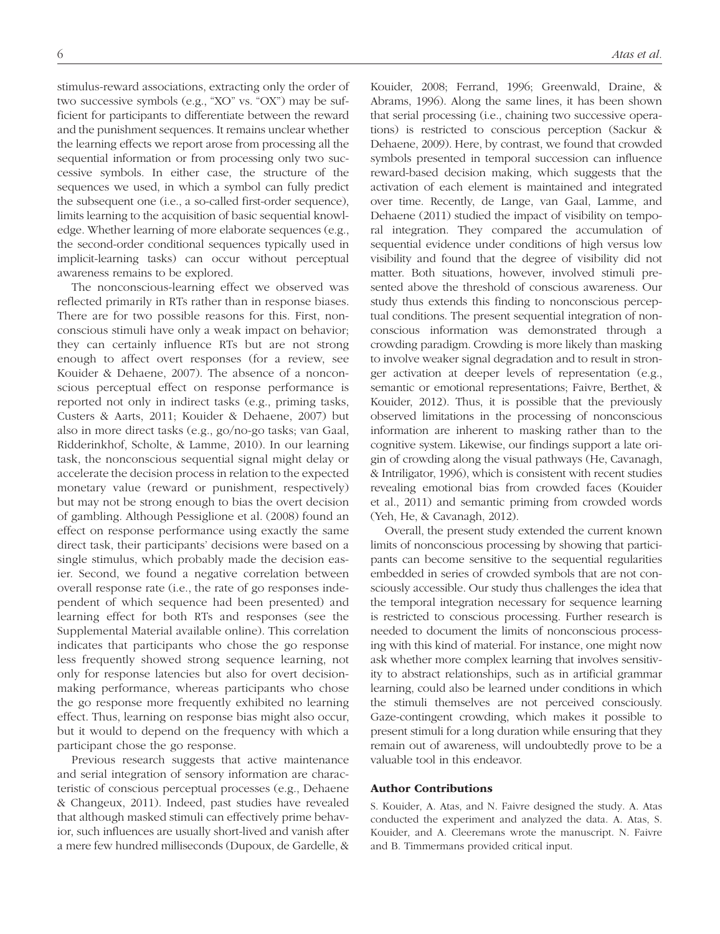stimulus-reward associations, extracting only the order of two successive symbols (e.g., "XO" vs. "OX") may be sufficient for participants to differentiate between the reward and the punishment sequences. It remains unclear whether the learning effects we report arose from processing all the sequential information or from processing only two successive symbols. In either case, the structure of the sequences we used, in which a symbol can fully predict the subsequent one (i.e., a so-called first-order sequence), limits learning to the acquisition of basic sequential knowledge. Whether learning of more elaborate sequences (e.g., the second-order conditional sequences typically used in implicit-learning tasks) can occur without perceptual awareness remains to be explored.

The nonconscious-learning effect we observed was reflected primarily in RTs rather than in response biases. There are for two possible reasons for this. First, nonconscious stimuli have only a weak impact on behavior; they can certainly influence RTs but are not strong enough to affect overt responses (for a review, see Kouider & Dehaene, 2007). The absence of a nonconscious perceptual effect on response performance is reported not only in indirect tasks (e.g., priming tasks, Custers & Aarts, 2011; Kouider & Dehaene, 2007) but also in more direct tasks (e.g., go/no-go tasks; van Gaal, Ridderinkhof, Scholte, & Lamme, 2010). In our learning task, the nonconscious sequential signal might delay or accelerate the decision process in relation to the expected monetary value (reward or punishment, respectively) but may not be strong enough to bias the overt decision of gambling. Although Pessiglione et al. (2008) found an effect on response performance using exactly the same direct task, their participants' decisions were based on a single stimulus, which probably made the decision easier. Second, we found a negative correlation between overall response rate (i.e., the rate of go responses independent of which sequence had been presented) and learning effect for both RTs and responses (see the Supplemental Material available online). This correlation indicates that participants who chose the go response less frequently showed strong sequence learning, not only for response latencies but also for overt decisionmaking performance, whereas participants who chose the go response more frequently exhibited no learning effect. Thus, learning on response bias might also occur, but it would to depend on the frequency with which a participant chose the go response.

Previous research suggests that active maintenance and serial integration of sensory information are characteristic of conscious perceptual processes (e.g., Dehaene & Changeux, 2011). Indeed, past studies have revealed that although masked stimuli can effectively prime behavior, such influences are usually short-lived and vanish after a mere few hundred milliseconds (Dupoux, de Gardelle, & Kouider, 2008; Ferrand, 1996; Greenwald, Draine, & Abrams, 1996). Along the same lines, it has been shown that serial processing (i.e., chaining two successive operations) is restricted to conscious perception (Sackur & Dehaene, 2009). Here, by contrast, we found that crowded symbols presented in temporal succession can influence reward-based decision making, which suggests that the activation of each element is maintained and integrated over time. Recently, de Lange, van Gaal, Lamme, and Dehaene (2011) studied the impact of visibility on temporal integration. They compared the accumulation of sequential evidence under conditions of high versus low visibility and found that the degree of visibility did not matter. Both situations, however, involved stimuli presented above the threshold of conscious awareness. Our study thus extends this finding to nonconscious perceptual conditions. The present sequential integration of nonconscious information was demonstrated through a crowding paradigm. Crowding is more likely than masking to involve weaker signal degradation and to result in stronger activation at deeper levels of representation (e.g., semantic or emotional representations; Faivre, Berthet, & Kouider, 2012). Thus, it is possible that the previously observed limitations in the processing of nonconscious information are inherent to masking rather than to the cognitive system. Likewise, our findings support a late origin of crowding along the visual pathways (He, Cavanagh, & Intriligator, 1996), which is consistent with recent studies revealing emotional bias from crowded faces (Kouider et al., 2011) and semantic priming from crowded words (Yeh, He, & Cavanagh, 2012).

Overall, the present study extended the current known limits of nonconscious processing by showing that participants can become sensitive to the sequential regularities embedded in series of crowded symbols that are not consciously accessible. Our study thus challenges the idea that the temporal integration necessary for sequence learning is restricted to conscious processing. Further research is needed to document the limits of nonconscious processing with this kind of material. For instance, one might now ask whether more complex learning that involves sensitivity to abstract relationships, such as in artificial grammar learning, could also be learned under conditions in which the stimuli themselves are not perceived consciously. Gaze-contingent crowding, which makes it possible to present stimuli for a long duration while ensuring that they remain out of awareness, will undoubtedly prove to be a valuable tool in this endeavor.

## Author Contributions

S. Kouider, A. Atas, and N. Faivre designed the study. A. Atas conducted the experiment and analyzed the data. A. Atas, S. Kouider, and A. Cleeremans wrote the manuscript. N. Faivre and B. Timmermans provided critical input.